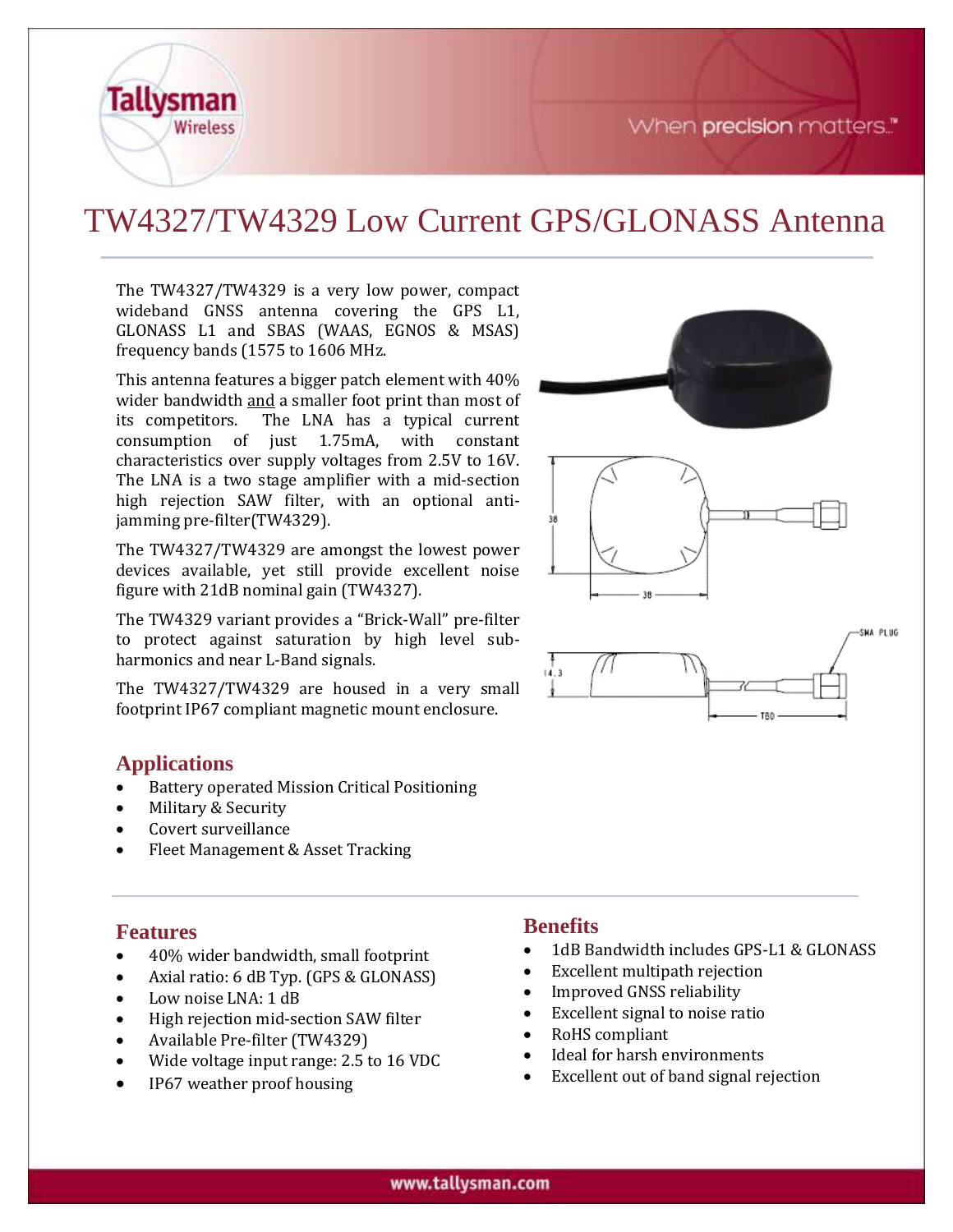When precision matters."



# TW4327/TW4329 Low Current GPS/GLONASS Antenna

The TW4327/TW4329 is a very low power, compact wideband GNSS antenna covering the GPS L1, GLONASS L1 and SBAS (WAAS, EGNOS & MSAS) frequency bands (1575 to 1606 MHz.

This antenna features a bigger patch element with 40% wider bandwidth and a smaller foot print than most of its competitors. The LNA has a typical current consumption of just 1.75mA, with constant characteristics over supply voltages from 2.5V to 16V. The LNA is a two stage amplifier with a mid-section high rejection SAW filter, with an optional antijamming pre-filter(TW4329).

The TW4327/TW4329 are amongst the lowest power devices available, yet still provide excellent noise figure with 21dB nominal gain (TW4327).

The TW4329 variant provides a "Brick-Wall" pre-filter to protect against saturation by high level subharmonics and near L-Band signals.

The TW4327/TW4329 are housed in a very small footprint IP67 compliant magnetic mount enclosure.

### **Applications**

- Battery operated Mission Critical Positioning
- Military & Security
- Covert surveillance
- Fleet Management & Asset Tracking

#### **Features**

- 40% wider bandwidth, small footprint
- Axial ratio: 6 dB Typ. (GPS & GLONASS)
- Low noise LNA: 1 dB
- High rejection mid-section SAW filter
- Available Pre-filter (TW4329)
- Wide voltage input range: 2.5 to 16 VDC
- IP67 weather proof housing

#### **Benefits**

- 1dB Bandwidth includes GPS-L1 & GLONASS
- Excellent multipath rejection
- Improved GNSS reliability
- Excellent signal to noise ratio
- RoHS compliant
- Ideal for harsh environments
- Excellent out of band signal rejection